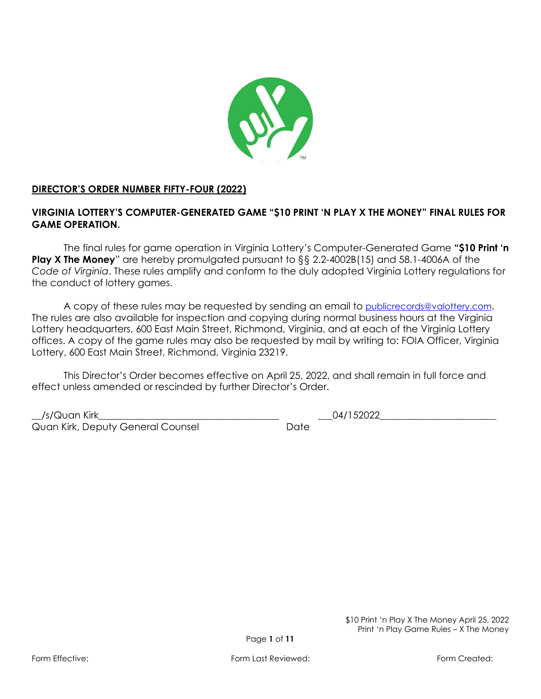

# **DIRECTOR'S ORDER NUMBER FIFTY-FOUR (2022)**

# **VIRGINIA LOTTERY'S COMPUTER-GENERATED GAME "\$10 PRINT 'N PLAY X THE MONEY" FINAL RULES FOR GAME OPERATION.**

The final rules for game operation in Virginia Lottery's Computer-Generated Game **"\$10 Print 'n Play X The Money**" are hereby promulgated pursuant to §§ 2.2-4002B(15) and 58.1-4006A of the *Code of Virginia*. These rules amplify and conform to the duly adopted Virginia Lottery regulations for the conduct of lottery games.

A copy of these rules may be requested by sending an email to [publicrecords@valottery.com](mailto:PublicRecords@Valottery.com). The rules are also available for inspection and copying during normal business hours at the Virginia Lottery headquarters, 600 East Main Street, Richmond, Virginia, and at each of the Virginia Lottery offices. A copy of the game rules may also be requested by mail by writing to: FOIA Officer, Virginia Lottery, 600 East Main Street, Richmond, Virginia 23219.

This Director's Order becomes effective on April 25, 2022, and shall remain in full force and effect unless amended or rescinded by further Director's Order.

\_\_/s/Quan Kirk\_\_\_\_\_\_\_\_\_\_\_\_\_\_\_\_\_\_\_\_\_\_\_\_\_\_\_\_\_\_\_\_\_\_\_\_\_ \_\_\_04/152022\_\_\_\_\_\_\_\_\_\_\_\_\_\_\_\_\_\_\_\_\_\_\_\_ Quan Kirk, Deputy General Counsel **Date** Date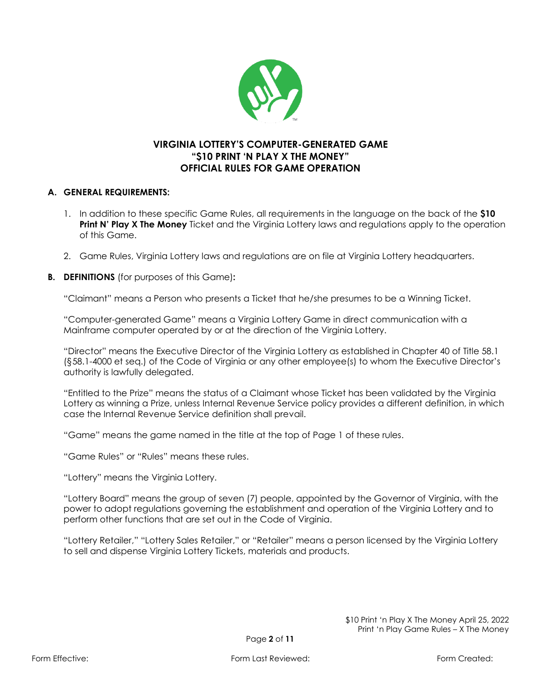

# **VIRGINIA LOTTERY'S COMPUTER-GENERATED GAME "\$10 PRINT 'N PLAY X THE MONEY" OFFICIAL RULES FOR GAME OPERATION**

#### **A. GENERAL REQUIREMENTS:**

- 1. In addition to these specific Game Rules, all requirements in the language on the back of the **\$10 Print N' Play X The Money** Ticket and the Virginia Lottery laws and regulations apply to the operation of this Game.
- 2. Game Rules, Virginia Lottery laws and regulations are on file at Virginia Lottery headquarters.
- **B. DEFINITIONS** (for purposes of this Game)**:**

"Claimant" means a Person who presents a Ticket that he/she presumes to be a Winning Ticket.

"Computer-generated Game" means a Virginia Lottery Game in direct communication with a Mainframe computer operated by or at the direction of the Virginia Lottery.

"Director" means the Executive Director of the Virginia Lottery as established in Chapter 40 of Title 58.1 (§58.1-4000 et seq.) of the Code of Virginia or any other employee(s) to whom the Executive Director's authority is lawfully delegated.

"Entitled to the Prize" means the status of a Claimant whose Ticket has been validated by the Virginia Lottery as winning a Prize, unless Internal Revenue Service policy provides a different definition, in which case the Internal Revenue Service definition shall prevail.

"Game" means the game named in the title at the top of Page 1 of these rules.

"Game Rules" or "Rules" means these rules.

"Lottery" means the Virginia Lottery.

"Lottery Board" means the group of seven (7) people, appointed by the Governor of Virginia, with the power to adopt regulations governing the establishment and operation of the Virginia Lottery and to perform other functions that are set out in the Code of Virginia.

"Lottery Retailer," "Lottery Sales Retailer," or "Retailer" means a person licensed by the Virginia Lottery to sell and dispense Virginia Lottery Tickets, materials and products.

> \$10 Print 'n Play X The Money April 25, 2022 Print 'n Play Game Rules – X The Money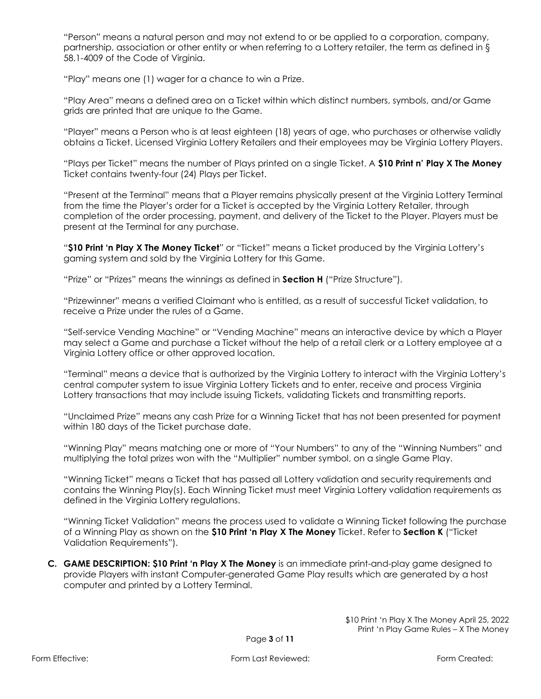"Person" means a natural person and may not extend to or be applied to a corporation, company, partnership, association or other entity or when referring to a Lottery retailer, the term as defined in § 58.1-4009 of the Code of Virginia.

"Play" means one (1) wager for a chance to win a Prize.

"Play Area" means a defined area on a Ticket within which distinct numbers, symbols, and/or Game grids are printed that are unique to the Game.

"Player" means a Person who is at least eighteen (18) years of age, who purchases or otherwise validly obtains a Ticket. Licensed Virginia Lottery Retailers and their employees may be Virginia Lottery Players.

"Plays per Ticket" means the number of Plays printed on a single Ticket. A **\$10 Print n' Play X The Money**  Ticket contains twenty-four (24) Plays per Ticket.

"Present at the Terminal" means that a Player remains physically present at the Virginia Lottery Terminal from the time the Player's order for a Ticket is accepted by the Virginia Lottery Retailer, through completion of the order processing, payment, and delivery of the Ticket to the Player. Players must be present at the Terminal for any purchase.

"**\$10 Print 'n Play X The Money Ticket**" or "Ticket" means a Ticket produced by the Virginia Lottery's gaming system and sold by the Virginia Lottery for this Game.

"Prize" or "Prizes" means the winnings as defined in **Section H** ("Prize Structure").

"Prizewinner" means a verified Claimant who is entitled, as a result of successful Ticket validation, to receive a Prize under the rules of a Game.

"Self-service Vending Machine" or "Vending Machine" means an interactive device by which a Player may select a Game and purchase a Ticket without the help of a retail clerk or a Lottery employee at a Virginia Lottery office or other approved location.

"Terminal" means a device that is authorized by the Virginia Lottery to interact with the Virginia Lottery's central computer system to issue Virginia Lottery Tickets and to enter, receive and process Virginia Lottery transactions that may include issuing Tickets, validating Tickets and transmitting reports.

"Unclaimed Prize" means any cash Prize for a Winning Ticket that has not been presented for payment within 180 days of the Ticket purchase date.

"Winning Play" means matching one or more of "Your Numbers" to any of the "Winning Numbers" and multiplying the total prizes won with the "Multiplier" number symbol, on a single Game Play.

"Winning Ticket" means a Ticket that has passed all Lottery validation and security requirements and contains the Winning Play(s). Each Winning Ticket must meet Virginia Lottery validation requirements as defined in the Virginia Lottery regulations.

"Winning Ticket Validation" means the process used to validate a Winning Ticket following the purchase of a Winning Play as shown on the **\$10 Print 'n Play X The Money** Ticket. Refer to **Section K** ("Ticket Validation Requirements").

**C. GAME DESCRIPTION: \$10 Print 'n Play X The Money** is an immediate print-and-play game designed to provide Players with instant Computer-generated Game Play results which are generated by a host computer and printed by a Lottery Terminal.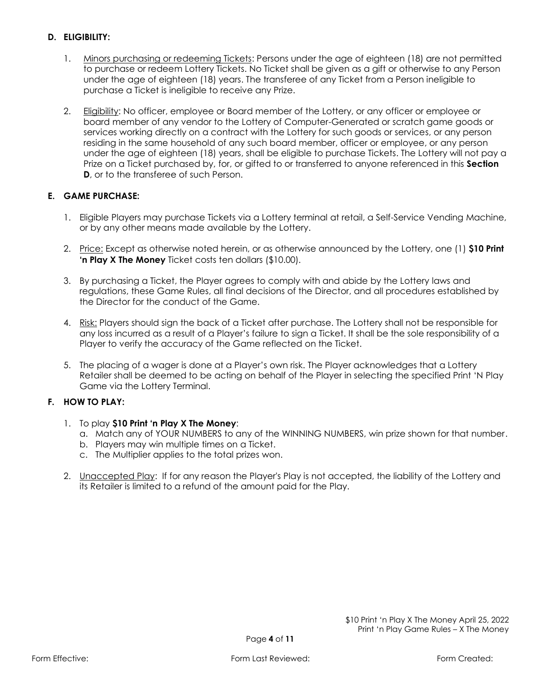## **D. ELIGIBILITY:**

- 1. Minors purchasing or redeeming Tickets: Persons under the age of eighteen (18) are not permitted to purchase or redeem Lottery Tickets. No Ticket shall be given as a gift or otherwise to any Person under the age of eighteen (18) years. The transferee of any Ticket from a Person ineligible to purchase a Ticket is ineligible to receive any Prize.
- 2. Eligibility: No officer, employee or Board member of the Lottery, or any officer or employee or board member of any vendor to the Lottery of Computer-Generated or scratch game goods or services working directly on a contract with the Lottery for such goods or services, or any person residing in the same household of any such board member, officer or employee, or any person under the age of eighteen (18) years, shall be eligible to purchase Tickets. The Lottery will not pay a Prize on a Ticket purchased by, for, or gifted to or transferred to anyone referenced in this **Section D**, or to the transferee of such Person.

## **E. GAME PURCHASE:**

- 1. Eligible Players may purchase Tickets via a Lottery terminal at retail, a Self-Service Vending Machine, or by any other means made available by the Lottery.
- 2. Price: Except as otherwise noted herein, or as otherwise announced by the Lottery, one (1) **\$10 Print 'n Play X The Money** Ticket costs ten dollars (\$10.00).
- 3. By purchasing a Ticket, the Player agrees to comply with and abide by the Lottery laws and regulations, these Game Rules, all final decisions of the Director, and all procedures established by the Director for the conduct of the Game.
- 4. Risk: Players should sign the back of a Ticket after purchase. The Lottery shall not be responsible for any loss incurred as a result of a Player's failure to sign a Ticket. It shall be the sole responsibility of a Player to verify the accuracy of the Game reflected on the Ticket.
- 5. The placing of a wager is done at a Player's own risk. The Player acknowledges that a Lottery Retailer shall be deemed to be acting on behalf of the Player in selecting the specified Print 'N Play Game via the Lottery Terminal.

## **F. HOW TO PLAY:**

- 1. To play **\$10 Print 'n Play X The Money**:
	- a. Match any of YOUR NUMBERS to any of the WINNING NUMBERS, win prize shown for that number.
	- b. Players may win multiple times on a Ticket.
	- c. The Multiplier applies to the total prizes won.
- 2. Unaccepted Play: If for any reason the Player's Play is not accepted, the liability of the Lottery and its Retailer is limited to a refund of the amount paid for the Play.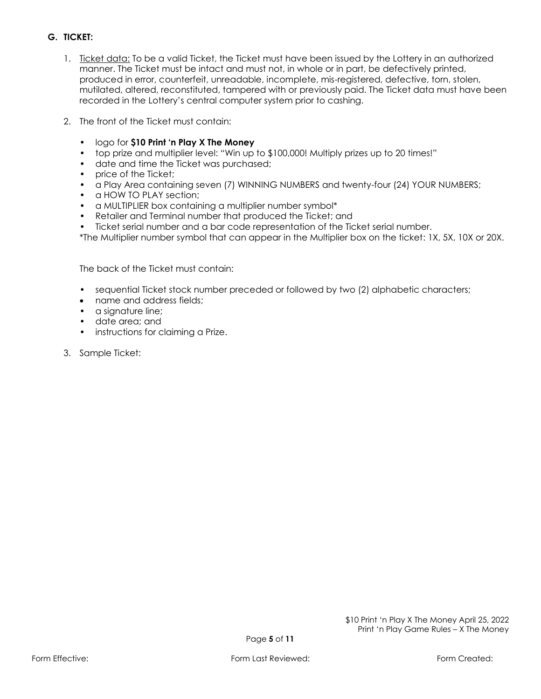# **G. TICKET:**

- 1. Ticket data: To be a valid Ticket, the Ticket must have been issued by the Lottery in an authorized manner. The Ticket must be intact and must not, in whole or in part, be defectively printed, produced in error, counterfeit, unreadable, incomplete, mis-registered, defective, torn, stolen, mutilated, altered, reconstituted, tampered with or previously paid. The Ticket data must have been recorded in the Lottery's central computer system prior to cashing.
- 2. The front of the Ticket must contain:
	- logo for **\$10 Print 'n Play X The Money**
	- top prize and multiplier level: "Win up to \$100,000! Multiply prizes up to 20 times!"
	- date and time the Ticket was purchased;
	- price of the Ticket:
	- a Play Area containing seven (7) WINNING NUMBERS and twenty-four (24) YOUR NUMBERS;
	- a HOW TO PLAY section:
	- a MULTIPLIER box containing a multiplier number symbol\*
	- Retailer and Terminal number that produced the Ticket; and
	- Ticket serial number and a bar code representation of the Ticket serial number.
	- \*The Multiplier number symbol that can appear in the Multiplier box on the ticket: 1X, 5X, 10X or 20X.

The back of the Ticket must contain:

- sequential Ticket stock number preceded or followed by two (2) alphabetic characters;
- name and address fields;
- a signature line;
- date area; and
- instructions for claiming a Prize.
- 3. Sample Ticket: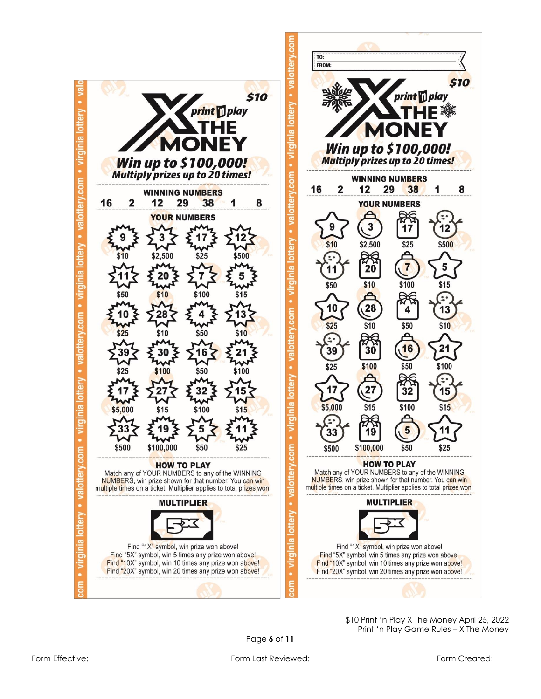



\$10 Print 'n Play X The Money April 25, 2022 Print 'n Play Game Rules – X The Money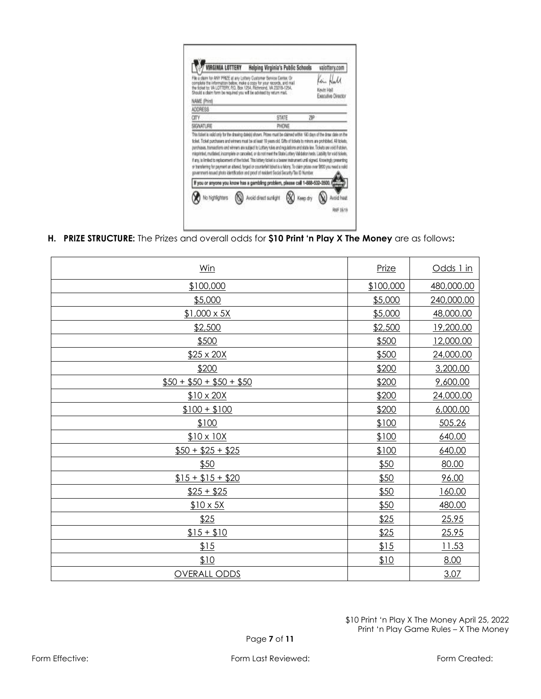| RGINIA LOTTERY                                                                                                                                                                                                                                                                                                                                                                                                                                                                                                                                                                                                                   | Helping Virginia's Public Schools | valottery.com                    |
|----------------------------------------------------------------------------------------------------------------------------------------------------------------------------------------------------------------------------------------------------------------------------------------------------------------------------------------------------------------------------------------------------------------------------------------------------------------------------------------------------------------------------------------------------------------------------------------------------------------------------------|-----------------------------------|----------------------------------|
| claim for ANY PRIZE at any Lottery Customer Service Center, Or<br>complete the information below, make a copy for your records, and mail<br>the ficient to: VA LOTTERY, P.O. Box 1254, Richmond, VA 23218-1254.<br>Should a claim form be required you will be advised by raturn mail.                                                                                                                                                                                                                                                                                                                                           |                                   | Keyin Hall<br>Executive Director |
| NAME (Print)                                                                                                                                                                                                                                                                                                                                                                                                                                                                                                                                                                                                                     |                                   |                                  |
| ADDRESS                                                                                                                                                                                                                                                                                                                                                                                                                                                                                                                                                                                                                          |                                   |                                  |
| CITY                                                                                                                                                                                                                                                                                                                                                                                                                                                                                                                                                                                                                             | STATE                             | <b>ZIP</b>                       |
| SIGNATURE                                                                                                                                                                                                                                                                                                                                                                                                                                                                                                                                                                                                                        | PHONE                             |                                  |
|                                                                                                                                                                                                                                                                                                                                                                                                                                                                                                                                                                                                                                  |                                   |                                  |
| purchases. transactions and winners are subject to Lottery rules and regulations and state law. Tickets are void if stolen.<br>misprinted, muritated, incomplete or cancelled, or do not meet the State Lottery Validation tests. Llability for exiditiolets,<br>if any, is limited to replacement of the fisiket. This lottery fisiket is a beany instrument until signed. Knowingly presenting<br>or transferring for payment an altered, forged or counterfeit tideat is a felony. To claim prizes over \$800 you need a match<br>povernment-lessed photo identification and proof of resident Secial Security/Tex ID Number. |                                   |                                  |
| If you or anyone you know has a gambling problem, please call 1-588-532-3500.                                                                                                                                                                                                                                                                                                                                                                                                                                                                                                                                                    |                                   |                                  |

**H. PRIZE STRUCTURE:** The Prizes and overall odds for **\$10 Print 'n Play X The Money** are as follows**:**

| Win                     | Prize     | Odds 1 in  |
|-------------------------|-----------|------------|
| \$100,000               | \$100,000 | 480,000.00 |
| \$5,000                 | \$5,000   | 240,000.00 |
| $$1,000 \times 5X$      | \$5,000   | 48,000.00  |
| \$2,500                 | \$2,500   | 19,200.00  |
| \$500                   | \$500     | 12,000.00  |
| $$25 \times 20X$        | \$500     | 24,000.00  |
| \$200                   | \$200     | 3,200.00   |
| $$50 + $50 + $50 + $50$ | \$200     | 9,600.00   |
| $$10 \times 20X$        | \$200     | 24,000.00  |
| $$100 + $100$           | \$200     | 6,000.00   |
| \$100                   | \$100     | 505.26     |
| $$10 \times 10X$        | \$100     | 640.00     |
| $$50 + $25 + $25$       | \$100     | 640.00     |
| \$50                    | \$50      | 80.00      |
| $$15 + $15 + $20$       | \$50      | 96.00      |
| $$25 + $25$             | \$50      | 160.00     |
| $$10 \times 5X$         | \$50      | 480.00     |
| \$25                    | \$25      | 25.95      |
| $$15 + $10$             | \$25      | 25.95      |
| 15                      | \$15      | 11.53      |
| \$10                    | \$10      | 8.00       |
| <b>OVERALL ODDS</b>     |           | 3.07       |

Form Effective: The Created: Form Last Reviewed: Form Created: Form Created: Form Created: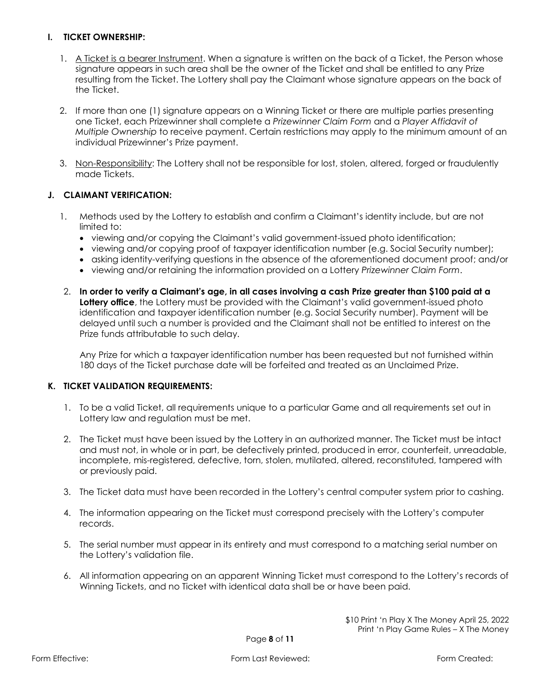#### **I. TICKET OWNERSHIP:**

- 1. A Ticket is a bearer Instrument. When a signature is written on the back of a Ticket, the Person whose signature appears in such area shall be the owner of the Ticket and shall be entitled to any Prize resulting from the Ticket. The Lottery shall pay the Claimant whose signature appears on the back of the Ticket.
- 2. If more than one (1) signature appears on a Winning Ticket or there are multiple parties presenting one Ticket, each Prizewinner shall complete a *Prizewinner Claim Form* and a *Player Affidavit of Multiple Ownership* to receive payment. Certain restrictions may apply to the minimum amount of an individual Prizewinner's Prize payment.
- 3. Non-Responsibility: The Lottery shall not be responsible for lost, stolen, altered, forged or fraudulently made Tickets.

#### **J. CLAIMANT VERIFICATION:**

- 1. Methods used by the Lottery to establish and confirm a Claimant's identity include, but are not limited to:
	- viewing and/or copying the Claimant's valid government-issued photo identification;
	- viewing and/or copying proof of taxpayer identification number (e.g. Social Security number);
	- asking identity-verifying questions in the absence of the aforementioned document proof; and/or
	- viewing and/or retaining the information provided on a Lottery *Prizewinner Claim Form*.
- 2. **In order to verify a Claimant's age, in all cases involving a cash Prize greater than \$100 paid at a Lottery office**, the Lottery must be provided with the Claimant's valid government-issued photo identification and taxpayer identification number (e.g. Social Security number). Payment will be delayed until such a number is provided and the Claimant shall not be entitled to interest on the Prize funds attributable to such delay.

Any Prize for which a taxpayer identification number has been requested but not furnished within 180 days of the Ticket purchase date will be forfeited and treated as an Unclaimed Prize.

#### **K. TICKET VALIDATION REQUIREMENTS:**

- 1. To be a valid Ticket, all requirements unique to a particular Game and all requirements set out in Lottery law and regulation must be met.
- 2. The Ticket must have been issued by the Lottery in an authorized manner. The Ticket must be intact and must not, in whole or in part, be defectively printed, produced in error, counterfeit, unreadable, incomplete, mis-registered, defective, torn, stolen, mutilated, altered, reconstituted, tampered with or previously paid.
- 3. The Ticket data must have been recorded in the Lottery's central computer system prior to cashing.
- 4. The information appearing on the Ticket must correspond precisely with the Lottery's computer records.
- 5. The serial number must appear in its entirety and must correspond to a matching serial number on the Lottery's validation file.
- 6. All information appearing on an apparent Winning Ticket must correspond to the Lottery's records of Winning Tickets, and no Ticket with identical data shall be or have been paid.

\$10 Print 'n Play X The Money April 25, 2022 Print 'n Play Game Rules – X The Money

Page **8** of **11**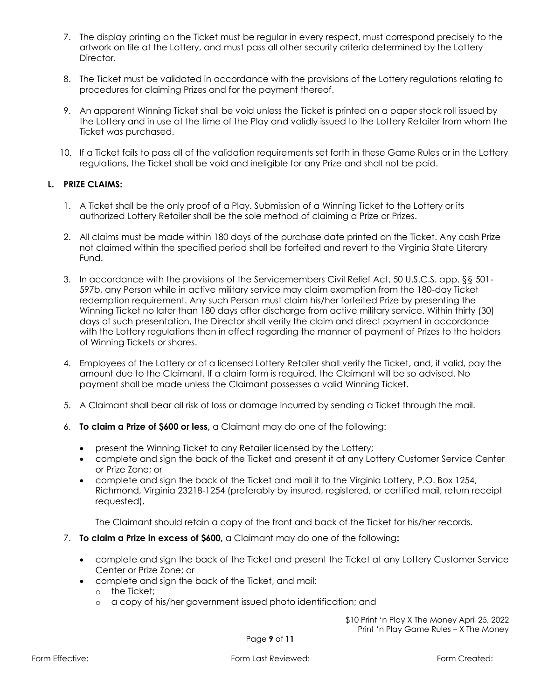- 7. The display printing on the Ticket must be regular in every respect, must correspond precisely to the artwork on file at the Lottery, and must pass all other security criteria determined by the Lottery Director.
- 8. The Ticket must be validated in accordance with the provisions of the Lottery regulations relating to procedures for claiming Prizes and for the payment thereof.
- 9. An apparent Winning Ticket shall be void unless the Ticket is printed on a paper stock roll issued by the Lottery and in use at the time of the Play and validly issued to the Lottery Retailer from whom the Ticket was purchased.
- 10. If a Ticket fails to pass all of the validation requirements set forth in these Game Rules or in the Lottery regulations, the Ticket shall be void and ineligible for any Prize and shall not be paid.

#### **L. PRIZE CLAIMS:**

- 1. A Ticket shall be the only proof of a Play. Submission of a Winning Ticket to the Lottery or its authorized Lottery Retailer shall be the sole method of claiming a Prize or Prizes.
- 2. All claims must be made within 180 days of the purchase date printed on the Ticket. Any cash Prize not claimed within the specified period shall be forfeited and revert to the Virginia State Literary Fund.
- 3. In accordance with the provisions of the Servicemembers Civil Relief Act, 50 U.S.C.S. app. §§ 501- 597b, any Person while in active military service may claim exemption from the 180-day Ticket redemption requirement. Any such Person must claim his/her forfeited Prize by presenting the Winning Ticket no later than 180 days after discharge from active military service. Within thirty (30) days of such presentation, the Director shall verify the claim and direct payment in accordance with the Lottery regulations then in effect regarding the manner of payment of Prizes to the holders of Winning Tickets or shares.
- 4. Employees of the Lottery or of a licensed Lottery Retailer shall verify the Ticket, and, if valid, pay the amount due to the Claimant. If a claim form is required, the Claimant will be so advised. No payment shall be made unless the Claimant possesses a valid Winning Ticket.
- 5. A Claimant shall bear all risk of loss or damage incurred by sending a Ticket through the mail.
- 6. **To claim a Prize of \$600 or less,** a Claimant may do one of the following:
	- present the Winning Ticket to any Retailer licensed by the Lottery;
	- complete and sign the back of the Ticket and present it at any Lottery Customer Service Center or Prize Zone; or
	- complete and sign the back of the Ticket and mail it to the Virginia Lottery, P.O. Box 1254, Richmond, Virginia 23218-1254 (preferably by insured, registered, or certified mail, return receipt requested).

The Claimant should retain a copy of the front and back of the Ticket for his/her records.

- 7. **To claim a Prize in excess of \$600,** a Claimant may do one of the following**:**
	- complete and sign the back of the Ticket and present the Ticket at any Lottery Customer Service Center or Prize Zone; or
	- complete and sign the back of the Ticket, and mail:
		- o the Ticket;
		- o a copy of his/her government issued photo identification; and

\$10 Print 'n Play X The Money April 25, 2022 Print 'n Play Game Rules – X The Money

Page **9** of **11**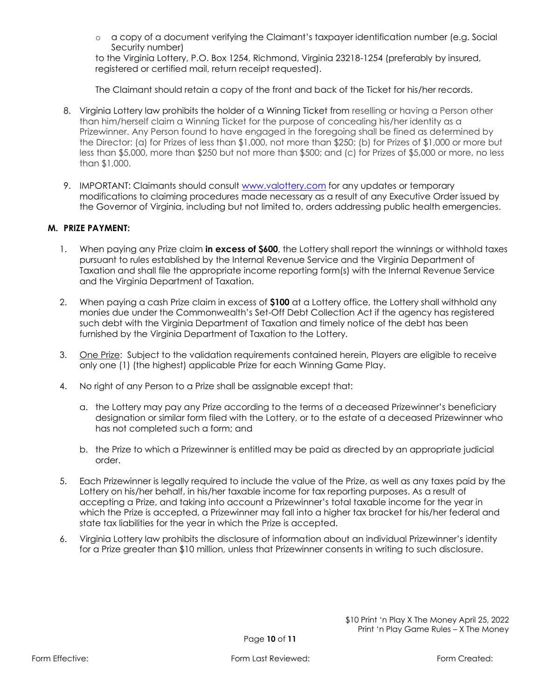o a copy of a document verifying the Claimant's taxpayer identification number (e.g. Social Security number)

to the Virginia Lottery, P.O. Box 1254, Richmond, Virginia 23218-1254 (preferably by insured, registered or certified mail, return receipt requested).

The Claimant should retain a copy of the front and back of the Ticket for his/her records.

- 8. Virginia Lottery law prohibits the holder of a Winning Ticket from reselling or having a Person other than him/herself claim a Winning Ticket for the purpose of concealing his/her identity as a Prizewinner. Any Person found to have engaged in the foregoing shall be fined as determined by the Director: (a) for Prizes of less than \$1,000, not more than \$250; (b) for Prizes of \$1,000 or more but less than \$5,000, more than \$250 but not more than \$500; and (c) for Prizes of \$5,000 or more, no less than \$1,000.
- 9. IMPORTANT: Claimants should consult [www.valottery.com](https://www.valottery.com/) for any updates or temporary modifications to claiming procedures made necessary as a result of any Executive Order issued by the Governor of Virginia, including but not limited to, orders addressing public health emergencies.

## **M. PRIZE PAYMENT:**

- 1. When paying any Prize claim **in excess of \$600**, the Lottery shall report the winnings or withhold taxes pursuant to rules established by the Internal Revenue Service and the Virginia Department of Taxation and shall file the appropriate income reporting form(s) with the Internal Revenue Service and the Virginia Department of Taxation.
- 2. When paying a cash Prize claim in excess of **\$100** at a Lottery office, the Lottery shall withhold any monies due under the Commonwealth's Set-Off Debt Collection Act if the agency has registered such debt with the Virginia Department of Taxation and timely notice of the debt has been furnished by the Virginia Department of Taxation to the Lottery.
- 3. One Prize: Subject to the validation requirements contained herein, Players are eligible to receive only one (1) (the highest) applicable Prize for each Winning Game Play.
- 4. No right of any Person to a Prize shall be assignable except that:
	- a. the Lottery may pay any Prize according to the terms of a deceased Prizewinner's beneficiary designation or similar form filed with the Lottery, or to the estate of a deceased Prizewinner who has not completed such a form; and
	- b. the Prize to which a Prizewinner is entitled may be paid as directed by an appropriate judicial order.
- 5. Each Prizewinner is legally required to include the value of the Prize, as well as any taxes paid by the Lottery on his/her behalf, in his/her taxable income for tax reporting purposes. As a result of accepting a Prize, and taking into account a Prizewinner's total taxable income for the year in which the Prize is accepted, a Prizewinner may fall into a higher tax bracket for his/her federal and state tax liabilities for the year in which the Prize is accepted.
- 6. Virginia Lottery law prohibits the disclosure of information about an individual Prizewinner's identity for a Prize greater than \$10 million, unless that Prizewinner consents in writing to such disclosure.